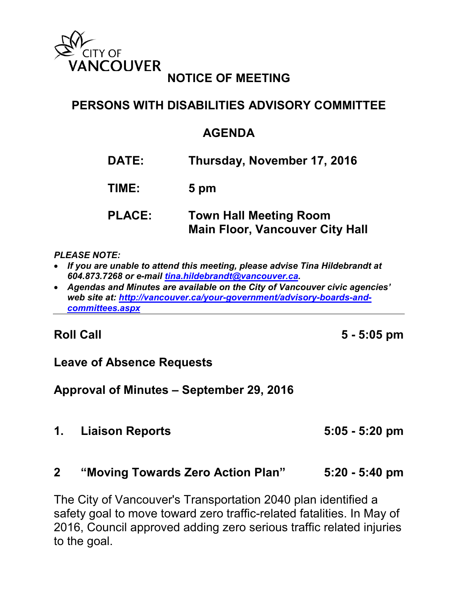

## **NOTICE OF MEETING**

## **PERSONS WITH DISABILITIES ADVISORY COMMITTEE**

#### **AGENDA**

**DATE: Thursday, November 17, 2016 TIME: 5 pm PLACE: Town Hall Meeting Room Main Floor, Vancouver City Hall**

#### *PLEASE NOTE:*

- *If you are unable to attend this meeting, please advise Tina Hildebrandt at 604.873.7268 or e-mail [tina.hildebrandt@vancouver.ca.](mailto:tina.hildebrandt@vancouver.ca)*
- *Agendas and Minutes are available on the City of Vancouver civic agencies' web site at: [http://vancouver.ca/your-government/advisory-boards-and](http://vancouver.ca/your-government/advisory-boards-and-committees.aspx)[committees.aspx](http://vancouver.ca/your-government/advisory-boards-and-committees.aspx)*

**Roll Call 5 - 5:05 pm**

#### **Leave of Absence Requests**

**Approval of Minutes – September 29, 2016**

**1. Liaison Reports 5:05 - 5:20 pm**

#### **2 "Moving Towards Zero Action Plan" 5:20 - 5:40 pm**

The City of Vancouver's Transportation 2040 plan identified a safety goal to move toward zero traffic-related fatalities. In May of 2016, Council approved adding zero serious traffic related injuries to the goal.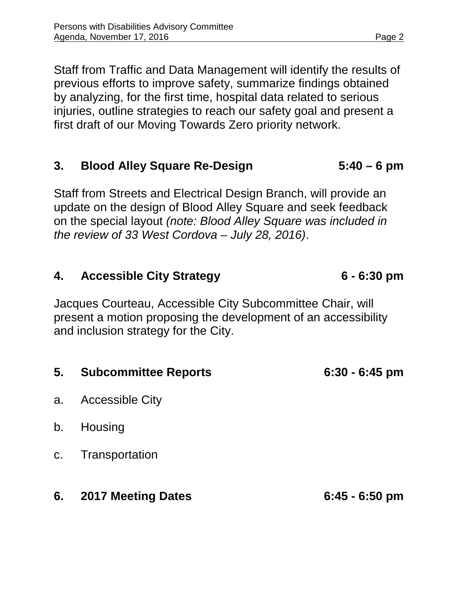Staff from Traffic and Data Management will identify the results of previous efforts to improve safety, summarize findings obtained by analyzing, for the first time, hospital data related to serious injuries, outline strategies to reach our safety goal and present a first draft of our Moving Towards Zero priority network.

## **3. Blood Alley Square Re-Design 5:40 – 6 pm**

Staff from Streets and Electrical Design Branch, will provide an update on the design of Blood Alley Square and seek feedback on the special layout *(note: Blood Alley Square was included in the review of 33 West Cordova – July 28, 2016)*.

### **4. Accessible City Strategy 6 - 6:30 pm**

Jacques Courteau, Accessible City Subcommittee Chair, will present a motion proposing the development of an accessibility and inclusion strategy for the City.

| 5. | <b>Subcommittee Reports</b> | $6:30 - 6:45$ pm |
|----|-----------------------------|------------------|
| a. | <b>Accessible City</b>      |                  |
| b. | Housing                     |                  |
|    | c. Transportation           |                  |
| 6. | <b>2017 Meeting Dates</b>   | $6:45 - 6:50$ pm |